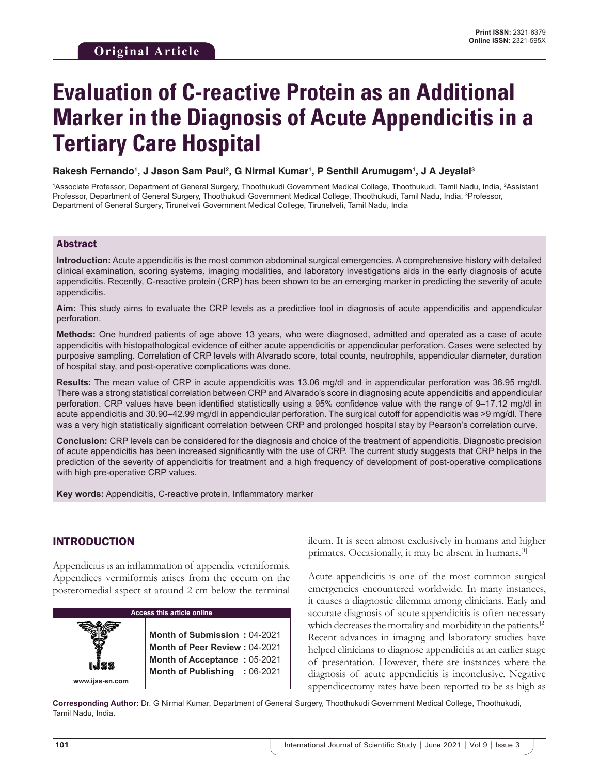# **Evaluation of C-reactive Protein as an Additional Marker in the Diagnosis of Acute Appendicitis in a Tertiary Care Hospital**

**Rakesh Fernando1 , J Jason Sam Paul2 , G Nirmal Kumar1 , P Senthil Arumugam1 , J A Jeyalal3**

<sup>1</sup>Associate Professor, Department of General Surgery, Thoothukudi Government Medical College, Thoothukudi, Tamil Nadu, India, <sup>2</sup>Assistant Professor, Department of General Surgery, Thoothukudi Government Medical College, Thoothukudi, Tamil Nadu, India, 3 Professor, Department of General Surgery, Tirunelveli Government Medical College, Tirunelveli, Tamil Nadu, India

#### Abstract

**Introduction:** Acute appendicitis is the most common abdominal surgical emergencies. A comprehensive history with detailed clinical examination, scoring systems, imaging modalities, and laboratory investigations aids in the early diagnosis of acute appendicitis. Recently, C-reactive protein (CRP) has been shown to be an emerging marker in predicting the severity of acute appendicitis.

**Aim:** This study aims to evaluate the CRP levels as a predictive tool in diagnosis of acute appendicitis and appendicular perforation.

**Methods:** One hundred patients of age above 13 years, who were diagnosed, admitted and operated as a case of acute appendicitis with histopathological evidence of either acute appendicitis or appendicular perforation. Cases were selected by purposive sampling. Correlation of CRP levels with Alvarado score, total counts, neutrophils, appendicular diameter, duration of hospital stay, and post-operative complications was done.

**Results:** The mean value of CRP in acute appendicitis was 13.06 mg/dl and in appendicular perforation was 36.95 mg/dl. There was a strong statistical correlation between CRP and Alvarado's score in diagnosing acute appendicitis and appendicular perforation. CRP values have been identified statistically using a 95% confidence value with the range of 9–17.12 mg/dl in acute appendicitis and 30.90–42.99 mg/dl in appendicular perforation. The surgical cutoff for appendicitis was >9 mg/dl. There was a very high statistically significant correlation between CRP and prolonged hospital stay by Pearson's correlation curve.

**Conclusion:** CRP levels can be considered for the diagnosis and choice of the treatment of appendicitis. Diagnostic precision of acute appendicitis has been increased significantly with the use of CRP. The current study suggests that CRP helps in the prediction of the severity of appendicitis for treatment and a high frequency of development of post-operative complications with high pre-operative CRP values.

**Key words:** Appendicitis, C-reactive protein, Inflammatory marker

### INTRODUCTION

**www.ijss-sn.com**

Appendicitis is an inflammation of appendix vermiformis. Appendices vermiformis arises from the cecum on the posteromedial aspect at around 2 cm below the terminal

| Access this article online |  |  |  |
|----------------------------|--|--|--|
|                            |  |  |  |

**Month of Submission :** 04-2021 **Month of Peer Review :** 04-2021 **Month of Acceptance :** 05-2021 **Month of Publishing :** 06-2021 ileum. It is seen almost exclusively in humans and higher primates. Occasionally, it may be absent in humans.<sup>[1]</sup>

Acute appendicitis is one of the most common surgical emergencies encountered worldwide. In many instances, it causes a diagnostic dilemma among clinicians. Early and accurate diagnosis of acute appendicitis is often necessary which decreases the mortality and morbidity in the patients.<sup>[2]</sup> Recent advances in imaging and laboratory studies have helped clinicians to diagnose appendicitis at an earlier stage of presentation. However, there are instances where the diagnosis of acute appendicitis is inconclusive. Negative appendicectomy rates have been reported to be as high as

**Corresponding Author:** Dr. G Nirmal Kumar, Department of General Surgery, Thoothukudi Government Medical College, Thoothukudi, Tamil Nadu, India.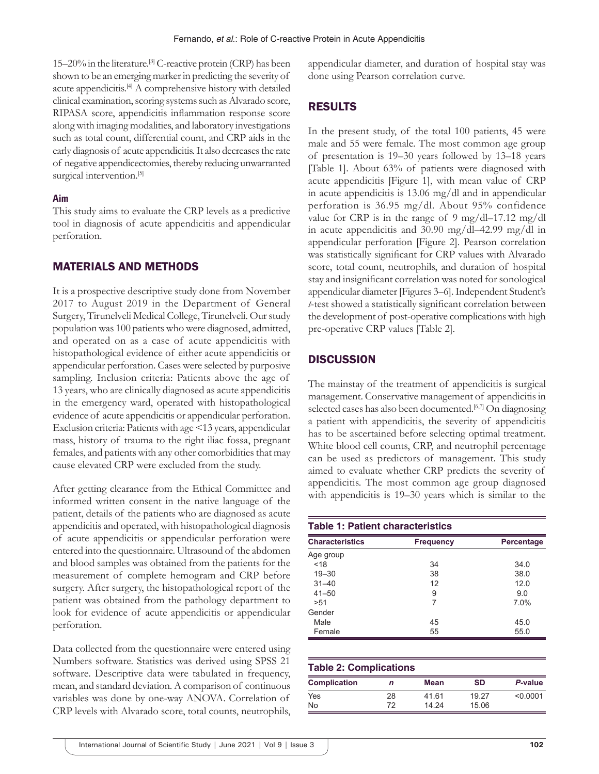15–20% in the literature.[3] C-reactive protein (CRP) has been shown to be an emerging marker in predicting the severity of acute appendicitis.[4] A comprehensive history with detailed clinical examination, scoring systems such as Alvarado score, RIPASA score, appendicitis inflammation response score along with imaging modalities, and laboratory investigations such as total count, differential count, and CRP aids in the early diagnosis of acute appendicitis. It also decreases the rate of negative appendicectomies, thereby reducing unwarranted surgical intervention.<sup>[5]</sup>

#### **Aim**

This study aims to evaluate the CRP levels as a predictive tool in diagnosis of acute appendicitis and appendicular perforation.

#### MATERIALS AND METHODS

It is a prospective descriptive study done from November 2017 to August 2019 in the Department of General Surgery, Tirunelveli Medical College, Tirunelveli. Our study population was 100 patients who were diagnosed, admitted, and operated on as a case of acute appendicitis with histopathological evidence of either acute appendicitis or appendicular perforation. Cases were selected by purposive sampling. Inclusion criteria: Patients above the age of 13 years, who are clinically diagnosed as acute appendicitis in the emergency ward, operated with histopathological evidence of acute appendicitis or appendicular perforation. Exclusion criteria: Patients with age <13 years, appendicular mass, history of trauma to the right iliac fossa, pregnant females, and patients with any other comorbidities that may cause elevated CRP were excluded from the study.

After getting clearance from the Ethical Committee and informed written consent in the native language of the patient, details of the patients who are diagnosed as acute appendicitis and operated, with histopathological diagnosis of acute appendicitis or appendicular perforation were entered into the questionnaire. Ultrasound of the abdomen and blood samples was obtained from the patients for the measurement of complete hemogram and CRP before surgery. After surgery, the histopathological report of the patient was obtained from the pathology department to look for evidence of acute appendicitis or appendicular perforation.

Data collected from the questionnaire were entered using Numbers software. Statistics was derived using SPSS 21 software. Descriptive data were tabulated in frequency, mean, and standard deviation. Acomparison of continuous variables was done by one-way ANOVA. Correlation of CRP levels with Alvarado score, total counts, neutrophils,

appendicular diameter, and duration of hospital stay was done using Pearson correlation curve.

## RESULTS

In the present study, of the total 100 patients, 45 were male and 55 were female. The most common age group of presentation is 19–30 years followed by 13–18 years [Table 1]. About 63% of patients were diagnosed with acute appendicitis [Figure 1], with mean value of CRP in acute appendicitis is 13.06 mg/dl and in appendicular perforation is 36.95 mg/dl. About 95% confidence value for CRP is in the range of 9 mg/dl–17.12 mg/dl in acute appendicitis and 30.90 mg/dl–42.99 mg/dl in appendicular perforation [Figure 2]. Pearson correlation was statistically significant for CRP values with Alvarado score, total count, neutrophils, and duration of hospital stay and insignificant correlation was noted for sonological appendicular diameter [Figures 3–6]. Independent Student's *t*-test showed a statistically significant correlation between the development of post-operative complications with high pre-operative CRP values [Table 2].

## **DISCUSSION**

The mainstay of the treatment of appendicitis is surgical management. Conservative management of appendicitis in selected cases has also been documented.<sup>[6,7]</sup> On diagnosing a patient with appendicitis, the severity of appendicitis has to be ascertained before selecting optimal treatment. White blood cell counts, CRP, and neutrophil percentage can be used as predictors of management. This study aimed to evaluate whether CRP predicts the severity of appendicitis. The most common age group diagnosed with appendicitis is 19–30 years which is similar to the

| <b>Characteristics</b> | <b>Frequency</b> | Percentage |  |
|------------------------|------------------|------------|--|
| Age group              |                  |            |  |
| < 18                   | 34               | 34.0       |  |
| $19 - 30$              | 38               | 38.0       |  |
| $31 - 40$              | 12               | 12.0       |  |
| $41 - 50$              | 9                | 9.0        |  |
| >51                    | 7                | 7.0%       |  |
| Gender                 |                  |            |  |
| Male                   | 45               | 45.0       |  |
| Female                 | 55               | 55.0       |  |

#### **Table 2: Complications**

| <b>Complication</b> | n  | <b>Mean</b> | SD    | P-value  |
|---------------------|----|-------------|-------|----------|
| Yes                 | 28 | 41.61       | 19.27 | < 0.0001 |
| No                  | 72 | 14.24       | 15.06 |          |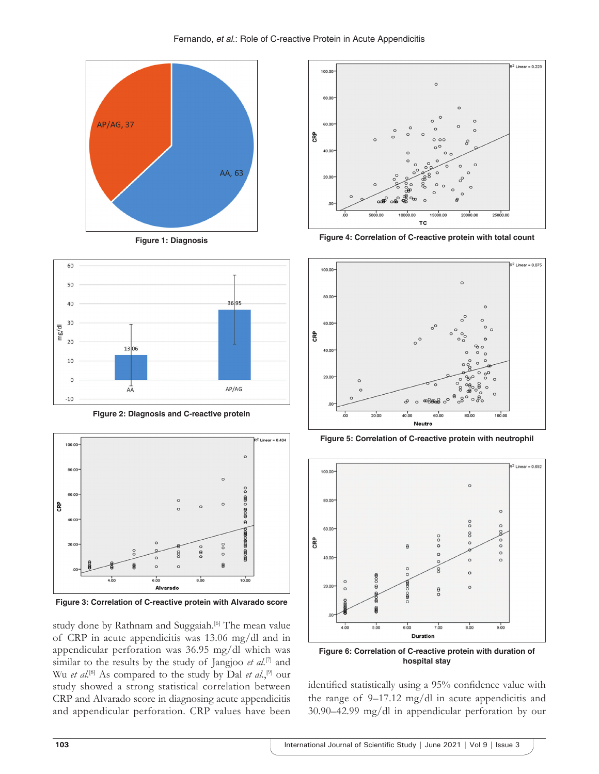





**Figure 2: Diagnosis and C-reactive protein**



**Figure 3: Correlation of C-reactive protein with Alvarado score**

study done by Rathnam and Suggaiah.<sup>[6]</sup> The mean value of CRP in acute appendicitis was 13.06 mg/dl and in appendicular perforation was 36.95 mg/dl which was similar to the results by the study of Jangjoo *et al.*<sup>[7]</sup> and Wu *et al.*<sup>[8]</sup> As compared to the study by Dal *et al.*,<sup>[9]</sup> our study showed a strong statistical correlation between CRP and Alvarado score in diagnosing acute appendicitis and appendicular perforation. CRP values have been



**Figure 4: Correlation of C-reactive protein with total count**



**Figure 5: Correlation of C-reactive protein with neutrophil**



**Figure 6: Correlation of C-reactive protein with duration of hospital stay**

identified statistically using a 95% confidence value with the range of 9–17.12 mg/dl in acute appendicitis and 30.90–42.99 mg/dl in appendicular perforation by our